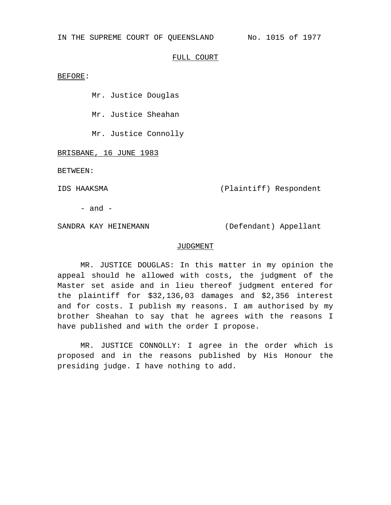IN THE SUPREME COURT OF QUEENSLAND No. 1015 of 1977

### FULL COURT

### BEFORE:

Mr. Justice Douglas

Mr. Justice Sheahan

Mr. Justice Connolly

BRISBANE, 16 JUNE 1983

BETWEEN:

IDS HAAKSMA (Plaintiff) Respondent

- and -

SANDRA KAY HEINEMANN (Defendant) Appellant

### JUDGMENT

MR. JUSTICE DOUGLAS: In this matter in my opinion the appeal should he allowed with costs, the judgment of the Master set aside and in lieu thereof judgment entered for the plaintiff for \$32,136,03 damages and \$2,356 interest and for costs. I publish my reasons. I am authorised by my brother Sheahan to say that he agrees with the reasons I have published and with the order I propose.

MR. JUSTICE CONNOLLY: I agree in the order which is proposed and in the reasons published by His Honour the presiding judge. I have nothing to add.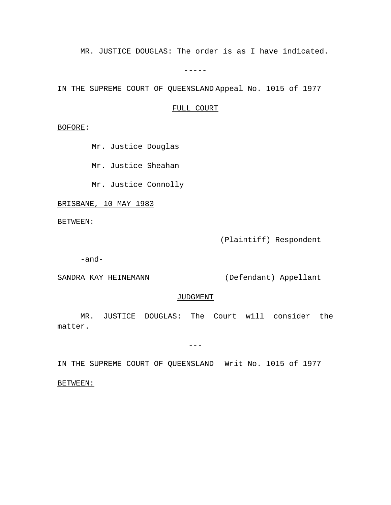MR. JUSTICE DOUGLAS: The order is as I have indicated.

 $-----$ 

IN THE SUPREME COURT OF QUEENSLAND Appeal No. 1015 of 1977

## FULL COURT

BOFORE:

Mr. Justice Douglas

Mr. Justice Sheahan

Mr. Justice Connolly

BRISBANE, 10 MAY 1983

BETWEEN:

(Plaintiff) Respondent

-and-

SANDRA KAY HEINEMANN (Defendant) Appellant

## JUDGMENT

MR. JUSTICE DOUGLAS: The Court will consider the matter.

 $---$ 

IN THE SUPREME COURT OF QUEENSLAND Writ No. 1015 of 1977

BETWEEN: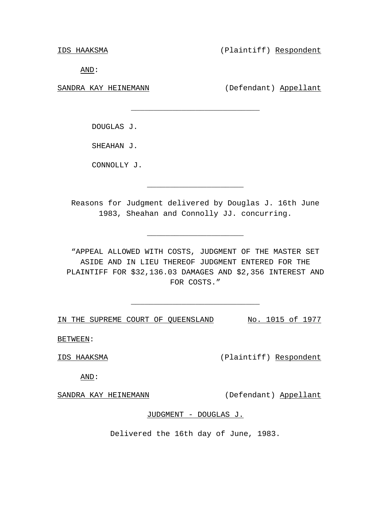IDS HAAKSMA (Plaintiff) Respondent

AND:

SANDRA KAY HEINEMANN (Defendant) Appellant

DOUGLAS J.

SHEAHAN J.

CONNOLLY J.

Reasons for Judgment delivered by Douglas J. 16th June 1983, Sheahan and Connolly JJ. concurring.

\_\_\_\_\_\_\_\_\_\_\_\_\_\_\_\_\_\_\_\_\_

\_\_\_\_\_\_\_\_\_\_\_\_\_\_\_\_\_\_\_\_\_

\_\_\_\_\_\_\_\_\_\_\_\_\_\_\_\_\_\_\_\_\_\_\_\_\_\_\_\_

"APPEAL ALLOWED WITH COSTS, JUDGMENT OF THE MASTER SET ASIDE AND IN LIEU THEREOF JUDGMENT ENTERED FOR THE PLAINTIFF FOR \$32,136.03 DAMAGES AND \$2,356 INTEREST AND FOR COSTS."

\_\_\_\_\_\_\_\_\_\_\_\_\_\_\_\_\_\_\_\_\_\_\_\_\_\_\_\_

IN THE SUPREME COURT OF QUEENSLAND No. 1015 of 1977

BETWEEN:

IDS HAAKSMA (Plaintiff) Respondent

AND:

SANDRA KAY HEINEMANN (Defendant) Appellant

# JUDGMENT - DOUGLAS J.

Delivered the 16th day of June, 1983.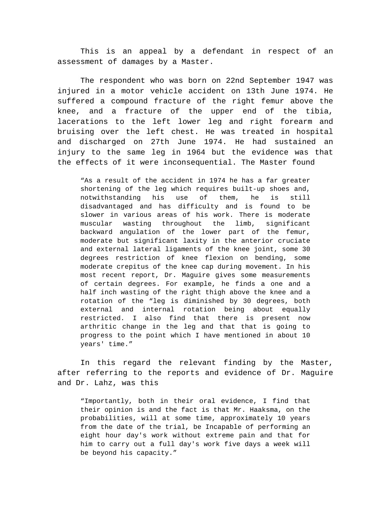This is an appeal by a defendant in respect of an assessment of damages by a Master.

The respondent who was born on 22nd September 1947 was injured in a motor vehicle accident on 13th June 1974. He suffered a compound fracture of the right femur above the knee, and a fracture of the upper end of the tibia, lacerations to the left lower leg and right forearm and bruising over the left chest. He was treated in hospital and discharged on 27th June 1974. He had sustained an injury to the same leg in 1964 but the evidence was that the effects of it were inconsequential. The Master found

"As a result of the accident in 1974 he has a far greater shortening of the leg which requires built-up shoes and, notwithstanding his use of them, he is still disadvantaged and has difficulty and is found to be slower in various areas of his work. There is moderate muscular wasting throughout the limb, significant backward angulation of the lower part of the femur, moderate but significant laxity in the anterior cruciate and external lateral ligaments of the knee joint, some 30 degrees restriction of knee flexion on bending, some moderate crepitus of the knee cap during movement. In his most recent report, Dr. Maguire gives some measurements of certain degrees. For example, he finds a one and a half inch wasting of the right thigh above the knee and a rotation of the "leg is diminished by 30 degrees, both external and internal rotation being about equally restricted. I also find that there is present now arthritic change in the leg and that that is going to progress to the point which I have mentioned in about 10 years' time."

In this regard the relevant finding by the Master, after referring to the reports and evidence of Dr. Maguire and Dr. Lahz, was this

"Importantly, both in their oral evidence, I find that their opinion is and the fact is that Mr. Haaksma, on the probabilities, will at some time, approximately 10 years from the date of the trial, be Incapable of performing an eight hour day's work without extreme pain and that for him to carry out a full day's work five days a week will be beyond his capacity."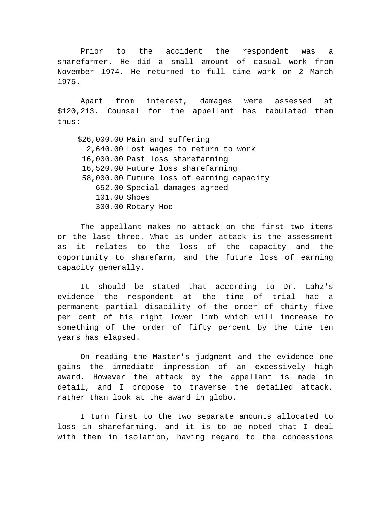Prior to the accident the respondent was a sharefarmer. He did a small amount of casual work from November 1974. He returned to full time work on 2 March 1975.

Apart from interest, damages were assessed at \$120,213. Counsel for the appellant has tabulated them thus:—

\$26,000.00 Pain and suffering 2,640.00 Lost wages to return to work 16,000.00 Past loss sharefarming 16,520.00 Future loss sharefarming 58,000.00 Future loss of earning capacity 652.00 Special damages agreed 101.00 Shoes 300.00 Rotary Hoe

The appellant makes no attack on the first two items or the last three. What is under attack is the assessment as it relates to the loss of the capacity and the opportunity to sharefarm, and the future loss of earning capacity generally.

It should be stated that according to Dr. Lahz's evidence the respondent at the time of trial had a permanent partial disability of the order of thirty five per cent of his right lower limb which will increase to something of the order of fifty percent by the time ten years has elapsed.

On reading the Master's judgment and the evidence one gains the immediate impression of an excessively high award. However the attack by the appellant is made in detail, and I propose to traverse the detailed attack, rather than look at the award in globo.

I turn first to the two separate amounts allocated to loss in sharefarming, and it is to be noted that I deal with them in isolation, having regard to the concessions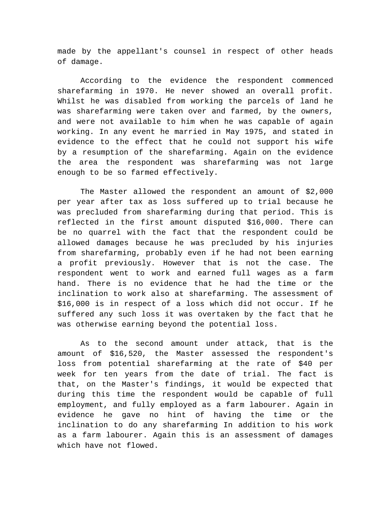made by the appellant's counsel in respect of other heads of damage.

According to the evidence the respondent commenced sharefarming in 1970. He never showed an overall profit. Whilst he was disabled from working the parcels of land he was sharefarming were taken over and farmed, by the owners, and were not available to him when he was capable of again working. In any event he married in May 1975, and stated in evidence to the effect that he could not support his wife by a resumption of the sharefarming. Again on the evidence the area the respondent was sharefarming was not large enough to be so farmed effectively.

The Master allowed the respondent an amount of \$2,000 per year after tax as loss suffered up to trial because he was precluded from sharefarming during that period. This is reflected in the first amount disputed \$16,000. There can be no quarrel with the fact that the respondent could be allowed damages because he was precluded by his injuries from sharefarming, probably even if he had not been earning a profit previously. However that is not the case. The respondent went to work and earned full wages as a farm hand. There is no evidence that he had the time or the inclination to work also at sharefarming. The assessment of \$16,000 is in respect of a loss which did not occur. If he suffered any such loss it was overtaken by the fact that he was otherwise earning beyond the potential loss.

As to the second amount under attack, that is the amount of \$16,520, the Master assessed the respondent's loss from potential sharefarming at the rate of \$40 per week for ten years from the date of trial. The fact is that, on the Master's findings, it would be expected that during this time the respondent would be capable of full employment, and fully employed as a farm labourer. Again in evidence he gave no hint of having the time or the inclination to do any sharefarming In addition to his work as a farm labourer. Again this is an assessment of damages which have not flowed.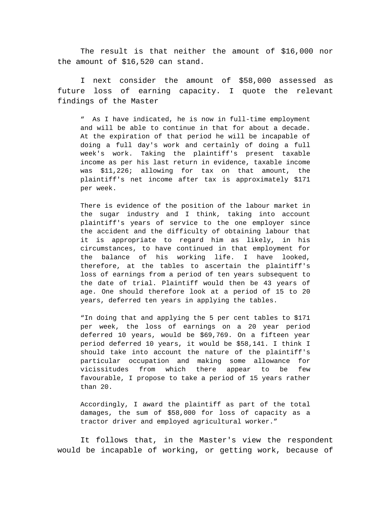The result is that neither the amount of \$16,000 nor the amount of \$16,520 can stand.

I next consider the amount of \$58,000 assessed as future loss of earning capacity. I quote the relevant findings of the Master

" As I have indicated, he is now in full-time employment and will be able to continue in that for about a decade. At the expiration of that period he will be incapable of doing a full day's work and certainly of doing a full week's work. Taking the plaintiff's present taxable income as per his last return in evidence, taxable income was \$11,226; allowing for tax on that amount, the plaintiff's net income after tax is approximately \$171 per week.

There is evidence of the position of the labour market in the sugar industry and I think, taking into account plaintiff's years of service to the one employer since the accident and the difficulty of obtaining labour that it is appropriate to regard him as likely, in his circumstances, to have continued in that employment for the balance of his working life. I have looked, therefore, at the tables to ascertain the plaintiff's loss of earnings from a period of ten years subsequent to the date of trial. Plaintiff would then be 43 years of age. One should therefore look at a period of 15 to 20 years, deferred ten years in applying the tables.

"In doing that and applying the 5 per cent tables to \$171 per week, the loss of earnings on a 20 year period deferred 10 years, would be \$69,769. On a fifteen year period deferred 10 years, it would be \$58,141. I think I should take into account the nature of the plaintiff's particular occupation and making some allowance for vicissitudes from which there appear to be few favourable, I propose to take a period of 15 years rather than 20.

Accordingly, I award the plaintiff as part of the total damages, the sum of \$58,000 for loss of capacity as a tractor driver and employed agricultural worker."

It follows that, in the Master's view the respondent would be incapable of working, or getting work, because of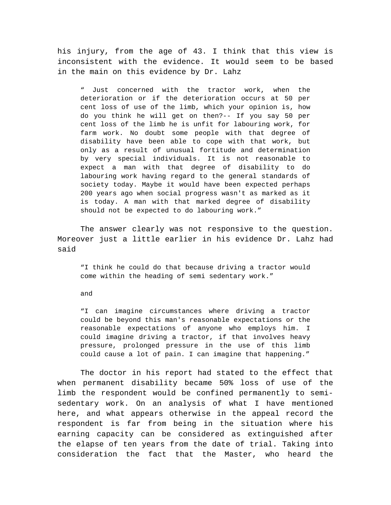his injury, from the age of 43. I think that this view is inconsistent with the evidence. It would seem to be based in the main on this evidence by Dr. Lahz

" Just concerned with the tractor work, when the deterioration or if the deterioration occurs at 50 per cent loss of use of the limb, which your opinion is, how do you think he will get on then?-- If you say 50 per cent loss of the limb he is unfit for labouring work, for farm work. No doubt some people with that degree of disability have been able to cope with that work, but only as a result of unusual fortitude and determination by very special individuals. It is not reasonable to expect a man with that degree of disability to do labouring work having regard to the general standards of society today. Maybe it would have been expected perhaps 200 years ago when social progress wasn't as marked as it is today. A man with that marked degree of disability should not be expected to do labouring work."

The answer clearly was not responsive to the question. Moreover just a little earlier in his evidence Dr. Lahz had said

"I think he could do that because driving a tractor would come within the heading of semi sedentary work."

### and

"I can imagine circumstances where driving a tractor could be beyond this man's reasonable expectations or the reasonable expectations of anyone who employs him. I could imagine driving a tractor, if that involves heavy pressure, prolonged pressure in the use of this limb could cause a lot of pain. I can imagine that happening."

The doctor in his report had stated to the effect that when permanent disability became 50% loss of use of the limb the respondent would be confined permanently to semisedentary work. On an analysis of what I have mentioned here, and what appears otherwise in the appeal record the respondent is far from being in the situation where his earning capacity can be considered as extinguished after the elapse of ten years from the date of trial. Taking into consideration the fact that the Master, who heard the